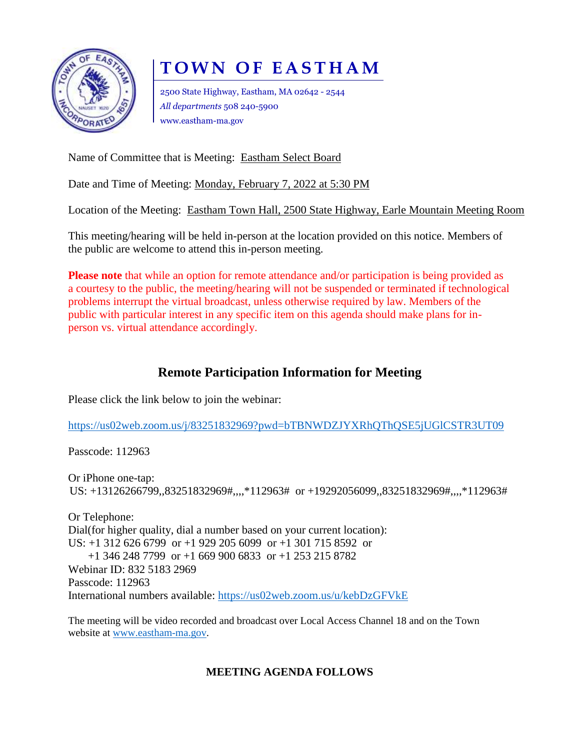

# **T O W N O F E A S T H A M**

2500 State Highway, Eastham, MA 02642 - 2544 *All departments* 508 240-5900 www.eastham-ma.gov

Name of Committee that is Meeting: Eastham Select Board

Date and Time of Meeting: Monday, February 7, 2022 at 5:30 PM

Location of the Meeting: Eastham Town Hall, 2500 State Highway, Earle Mountain Meeting Room

This meeting/hearing will be held in-person at the location provided on this notice. Members of the public are welcome to attend this in-person meeting.

**Please note** that while an option for remote attendance and/or participation is being provided as a courtesy to the public, the meeting/hearing will not be suspended or terminated if technological problems interrupt the virtual broadcast, unless otherwise required by law. Members of the public with particular interest in any specific item on this agenda should make plans for inperson vs. virtual attendance accordingly.

## **Remote Participation Information for Meeting**

Please click the link below to join the webinar:

<https://us02web.zoom.us/j/83251832969?pwd=bTBNWDZJYXRhQThQSE5jUGlCSTR3UT09>

Passcode: 112963

Or iPhone one-tap: US: +13126266799,,83251832969#,,,,\*112963# or +19292056099,,83251832969#,,,,\*112963#

Or Telephone: Dial(for higher quality, dial a number based on your current location): US: +1 312 626 6799 or +1 929 205 6099 or +1 301 715 8592 or +1 346 248 7799 or +1 669 900 6833 or +1 253 215 8782 Webinar ID: 832 5183 2969 Passcode: 112963 International numbers available:<https://us02web.zoom.us/u/kebDzGFVkE>

The meeting will be video recorded and broadcast over Local Access Channel 18 and on the Town website at [www.eastham-ma.gov.](http://www.eastham-ma.gov/)

## **MEETING AGENDA FOLLOWS**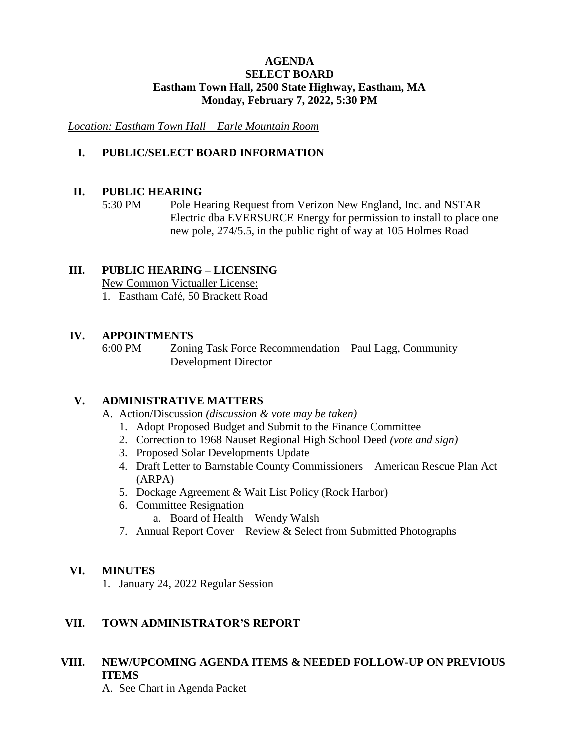#### **AGENDA SELECT BOARD Eastham Town Hall, 2500 State Highway, Eastham, MA Monday, February 7, 2022, 5:30 PM**

*Location: Eastham Town Hall – Earle Mountain Room*

### **I. PUBLIC/SELECT BOARD INFORMATION**

#### **II. PUBLIC HEARING**

5:30 PM Pole Hearing Request from Verizon New England, Inc. and NSTAR Electric dba EVERSURCE Energy for permission to install to place one new pole, 274/5.5, in the public right of way at 105 Holmes Road

#### **III. PUBLIC HEARING – LICENSING**

New Common Victualler License:

1. Eastham Café, 50 Brackett Road

#### **IV. APPOINTMENTS**

6:00 PM Zoning Task Force Recommendation – Paul Lagg, Community Development Director

#### **V. ADMINISTRATIVE MATTERS**

- A. Action/Discussion *(discussion & vote may be taken)*
	- 1. Adopt Proposed Budget and Submit to the Finance Committee
	- 2. Correction to 1968 Nauset Regional High School Deed *(vote and sign)*
	- 3. Proposed Solar Developments Update
	- 4. Draft Letter to Barnstable County Commissioners American Rescue Plan Act (ARPA)
	- 5. Dockage Agreement & Wait List Policy (Rock Harbor)
	- 6. Committee Resignation
		- a. Board of Health Wendy Walsh
	- 7. Annual Report Cover Review & Select from Submitted Photographs

#### **VI. MINUTES**

1. January 24, 2022 Regular Session

#### **VII. TOWN ADMINISTRATOR'S REPORT**

## **VIII. NEW/UPCOMING AGENDA ITEMS & NEEDED FOLLOW-UP ON PREVIOUS ITEMS**

A. See Chart in Agenda Packet